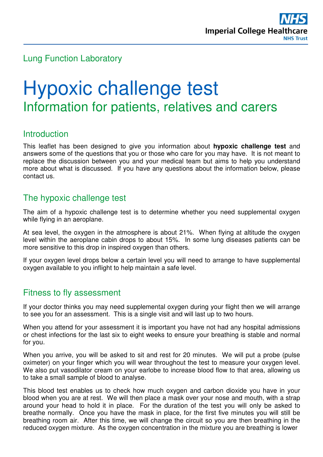# Lung Function Laboratory

# Hypoxic challenge test Information for patients, relatives and carers

# **Introduction**

This leaflet has been designed to give you information about **hypoxic challenge test** and answers some of the questions that you or those who care for you may have. It is not meant to replace the discussion between you and your medical team but aims to help you understand more about what is discussed. If you have any questions about the information below, please contact us.

# The hypoxic challenge test

The aim of a hypoxic challenge test is to determine whether you need supplemental oxygen while flying in an aeroplane.

At sea level, the oxygen in the atmosphere is about 21%. When flying at altitude the oxygen level within the aeroplane cabin drops to about 15%. In some lung diseases patients can be more sensitive to this drop in inspired oxygen than others.

If your oxygen level drops below a certain level you will need to arrange to have supplemental oxygen available to you inflight to help maintain a safe level.

# Fitness to fly assessment

If your doctor thinks you may need supplemental oxygen during your flight then we will arrange to see you for an assessment. This is a single visit and will last up to two hours.

When you attend for your assessment it is important you have not had any hospital admissions or chest infections for the last six to eight weeks to ensure your breathing is stable and normal for you.

When you arrive, you will be asked to sit and rest for 20 minutes. We will put a probe (pulse oximeter) on your finger which you will wear throughout the test to measure your oxygen level. We also put vasodilator cream on your earlobe to increase blood flow to that area, allowing us to take a small sample of blood to analyse.

This blood test enables us to check how much oxygen and carbon dioxide you have in your blood when you are at rest. We will then place a mask over your nose and mouth, with a strap around your head to hold it in place. For the duration of the test you will only be asked to breathe normally. Once you have the mask in place, for the first five minutes you will still be breathing room air. After this time, we will change the circuit so you are then breathing in the reduced oxygen mixture. As the oxygen concentration in the mixture you are breathing is lower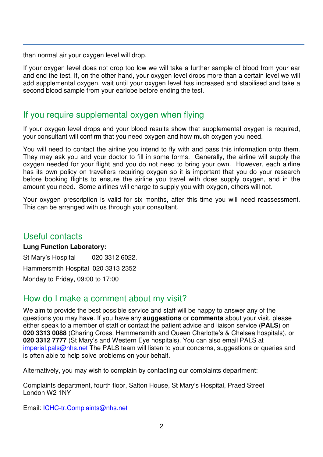than normal air your oxygen level will drop.

If your oxygen level does not drop too low we will take a further sample of blood from your ear and end the test. If, on the other hand, your oxygen level drops more than a certain level we will add supplemental oxygen, wait until your oxygen level has increased and stabilised and take a second blood sample from your earlobe before ending the test.

# If you require supplemental oxygen when flying

If your oxygen level drops and your blood results show that supplemental oxygen is required. your consultant will confirm that you need oxygen and how much oxygen you need.

You will need to contact the airline you intend to fly with and pass this information onto them. They may ask you and your doctor to fill in some forms. Generally, the airline will supply the oxygen needed for your flight and you do not need to bring your own. However, each airline has its own policy on travellers requiring oxygen so it is important that you do your research before booking flights to ensure the airline you travel with does supply oxygen, and in the amount you need. Some airlines will charge to supply you with oxygen, others will not.

Your oxygen prescription is valid for six months, after this time you will need reassessment. This can be arranged with us through your consultant.

#### Useful contacts

#### **Lung Function Laboratory:**

St Mary's Hospital 020 3312 6022. Hammersmith Hospital 020 3313 2352 Monday to Friday, 09:00 to 17:00

# How do I make a comment about my visit?

We aim to provide the best possible service and staff will be happy to answer any of the questions you may have. If you have any **suggestions** or **comments** about your visit, please either speak to a member of staff or contact the patient advice and liaison service (**PALS**) on **020 3313 0088** (Charing Cross, Hammersmith and Queen Charlotte's & Chelsea hospitals), or **020 3312 7777** (St Mary's and Western Eye hospitals). You can also email PALS at imperial.pals@nhs.net The PALS team will listen to your concerns, suggestions or queries and is often able to help solve problems on your behalf.

Alternatively, you may wish to complain by contacting our complaints department:

Complaints department, fourth floor, Salton House, St Mary's Hospital, Praed Street London W2 1NY

Email: ICHC-tr.Complaints@nhs.net